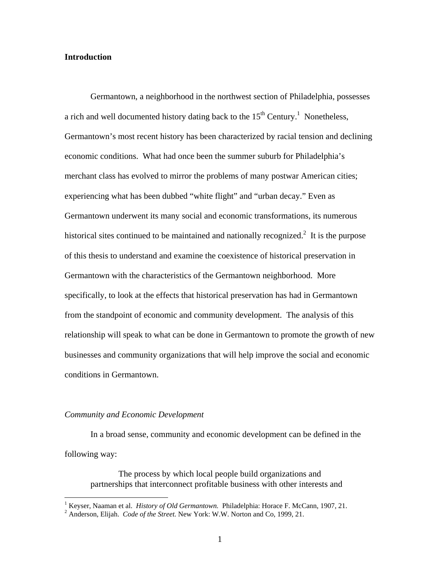### **Introduction**

Germantown, a neighborhood in the northwest section of Philadelphia, possesses a rich and well documented history dating back to the  $15<sup>th</sup>$  Century.<sup>1</sup> Nonetheless, Germantown's most recent history has been characterized by racial tension and declining economic conditions. What had once been the summer suburb for Philadelphia's merchant class has evolved to mirror the problems of many postwar American cities; experiencing what has been dubbed "white flight" and "urban decay." Even as Germantown underwent its many social and economic transformations, its numerous historical sites continued to be maintained and nationally recognized.<sup>2</sup> It is the purpose of this thesis to understand and examine the coexistence of historical preservation in Germantown with the characteristics of the Germantown neighborhood. More specifically, to look at the effects that historical preservation has had in Germantown from the standpoint of economic and community development. The analysis of this relationship will speak to what can be done in Germantown to promote the growth of new businesses and community organizations that will help improve the social and economic conditions in Germantown.

#### *Community and Economic Development*

1

In a broad sense, community and economic development can be defined in the following way:

 The process by which local people build organizations and partnerships that interconnect profitable business with other interests and

<sup>&</sup>lt;sup>1</sup> Keyser, Naaman et al. *History of Old Germantown.* Philadelphia: Horace F. McCann, 1907, 21.

<sup>&</sup>lt;sup>2</sup> Anderson, Elijah. *Code of the Street*. New York: W.W. Norton and Co, 1999, 21.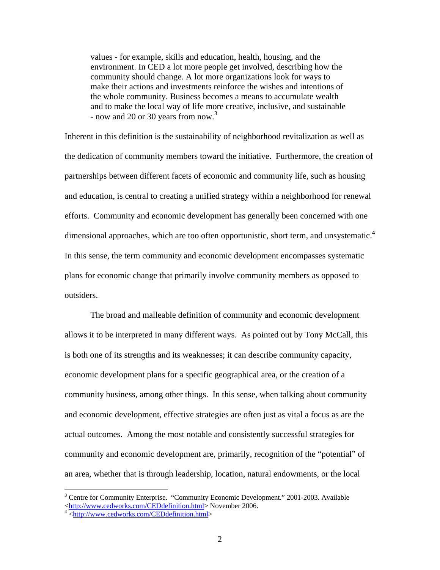values - for example, skills and education, health, housing, and the environment. In CED a lot more people get involved, describing how the community should change. A lot more organizations look for ways to make their actions and investments reinforce the wishes and intentions of the whole community. Business becomes a means to accumulate wealth and to make the local way of life more creative, inclusive, and sustainable - now and 20 or 30 years from now.<sup>3</sup>

Inherent in this definition is the sustainability of neighborhood revitalization as well as the dedication of community members toward the initiative. Furthermore, the creation of partnerships between different facets of economic and community life, such as housing and education, is central to creating a unified strategy within a neighborhood for renewal efforts. Community and economic development has generally been concerned with one dimensional approaches, which are too often opportunistic, short term, and unsystematic.<sup>4</sup> In this sense, the term community and economic development encompasses systematic plans for economic change that primarily involve community members as opposed to outsiders.

 The broad and malleable definition of community and economic development allows it to be interpreted in many different ways. As pointed out by Tony McCall, this is both one of its strengths and its weaknesses; it can describe community capacity, economic development plans for a specific geographical area, or the creation of a community business, among other things. In this sense, when talking about community and economic development, effective strategies are often just as vital a focus as are the actual outcomes. Among the most notable and consistently successful strategies for community and economic development are, primarily, recognition of the "potential" of an area, whether that is through leadership, location, natural endowments, or the local

<sup>&</sup>lt;sup>3</sup> Centre for Community Enterprise. "Community Economic Development." 2001-2003. Available <http://www.cedworks.com/CEDdefinition.html>November 2006.<br><sup>4</sup> <http://www.cedworks.com/CEDdefinition.html>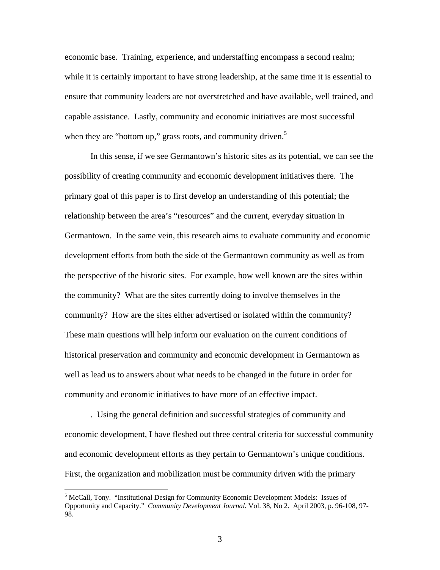economic base. Training, experience, and understaffing encompass a second realm; while it is certainly important to have strong leadership, at the same time it is essential to ensure that community leaders are not overstretched and have available, well trained, and capable assistance. Lastly, community and economic initiatives are most successful when they are "bottom up," grass roots, and community driven. $5$ 

 In this sense, if we see Germantown's historic sites as its potential, we can see the possibility of creating community and economic development initiatives there. The primary goal of this paper is to first develop an understanding of this potential; the relationship between the area's "resources" and the current, everyday situation in Germantown. In the same vein, this research aims to evaluate community and economic development efforts from both the side of the Germantown community as well as from the perspective of the historic sites. For example, how well known are the sites within the community? What are the sites currently doing to involve themselves in the community? How are the sites either advertised or isolated within the community? These main questions will help inform our evaluation on the current conditions of historical preservation and community and economic development in Germantown as well as lead us to answers about what needs to be changed in the future in order for community and economic initiatives to have more of an effective impact.

 . Using the general definition and successful strategies of community and economic development, I have fleshed out three central criteria for successful community and economic development efforts as they pertain to Germantown's unique conditions. First, the organization and mobilization must be community driven with the primary

<sup>&</sup>lt;sup>5</sup> McCall, Tony. "Institutional Design for Community Economic Development Models: Issues of Opportunity and Capacity." *Community Development Journal.* Vol. 38, No 2. April 2003, p. 96-108, 97- 98.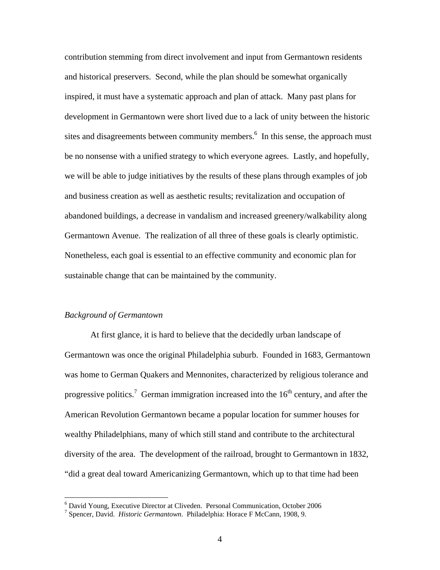contribution stemming from direct involvement and input from Germantown residents and historical preservers. Second, while the plan should be somewhat organically inspired, it must have a systematic approach and plan of attack. Many past plans for development in Germantown were short lived due to a lack of unity between the historic sites and disagreements between community members.<sup>6</sup> In this sense, the approach must be no nonsense with a unified strategy to which everyone agrees. Lastly, and hopefully, we will be able to judge initiatives by the results of these plans through examples of job and business creation as well as aesthetic results; revitalization and occupation of abandoned buildings, a decrease in vandalism and increased greenery/walkability along Germantown Avenue. The realization of all three of these goals is clearly optimistic. Nonetheless, each goal is essential to an effective community and economic plan for sustainable change that can be maintained by the community.

### *Background of Germantown*

1

 At first glance, it is hard to believe that the decidedly urban landscape of Germantown was once the original Philadelphia suburb. Founded in 1683, Germantown was home to German Quakers and Mennonites, characterized by religious tolerance and progressive politics.<sup>7</sup> German immigration increased into the  $16<sup>th</sup>$  century, and after the American Revolution Germantown became a popular location for summer houses for wealthy Philadelphians, many of which still stand and contribute to the architectural diversity of the area. The development of the railroad, brought to Germantown in 1832, "did a great deal toward Americanizing Germantown, which up to that time had been

<sup>6</sup> David Young, Executive Director at Cliveden. Personal Communication, October 2006

<sup>7</sup> Spencer, David. *Historic Germantown*. Philadelphia: Horace F McCann, 1908, 9.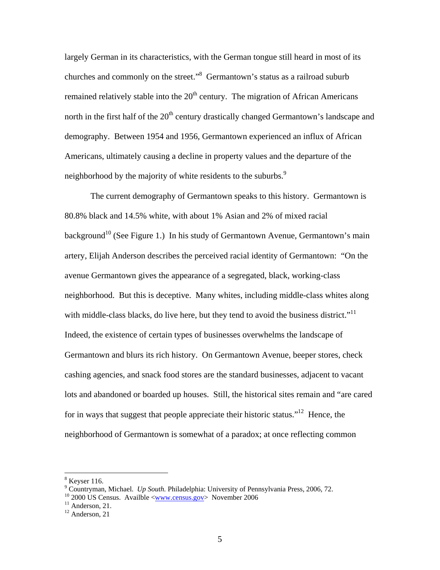largely German in its characteristics, with the German tongue still heard in most of its churches and commonly on the street."<sup>8</sup> Germantown's status as a railroad suburb remained relatively stable into the  $20<sup>th</sup>$  century. The migration of African Americans north in the first half of the  $20<sup>th</sup>$  century drastically changed Germantown's landscape and demography. Between 1954 and 1956, Germantown experienced an influx of African Americans, ultimately causing a decline in property values and the departure of the neighborhood by the majority of white residents to the suburbs.<sup>9</sup>

The current demography of Germantown speaks to this history. Germantown is 80.8% black and 14.5% white, with about 1% Asian and 2% of mixed racial background<sup>10</sup> (See Figure 1.) In his study of Germantown Avenue, Germantown's main artery, Elijah Anderson describes the perceived racial identity of Germantown: "On the avenue Germantown gives the appearance of a segregated, black, working-class neighborhood. But this is deceptive. Many whites, including middle-class whites along with middle-class blacks, do live here, but they tend to avoid the business district."<sup>11</sup> Indeed, the existence of certain types of businesses overwhelms the landscape of Germantown and blurs its rich history. On Germantown Avenue, beeper stores, check cashing agencies, and snack food stores are the standard businesses, adjacent to vacant lots and abandoned or boarded up houses. Still, the historical sites remain and "are cared for in ways that suggest that people appreciate their historic status."<sup>12</sup> Hence, the neighborhood of Germantown is somewhat of a paradox; at once reflecting common

<sup>8</sup> Keyser 116.

<sup>&</sup>lt;sup>9</sup> Countryman, Michael. *Up South*. Philadelphia: University of Pennsylvania Press, 2006, 72.<br><sup>10</sup> 2000 US Census. Availble <<u>www.census.gov</u>> November 2006<br><sup>11</sup> Anderson, 21.

<sup>&</sup>lt;sup>11</sup> Anderson, 21.<br><sup>12</sup> Anderson, 21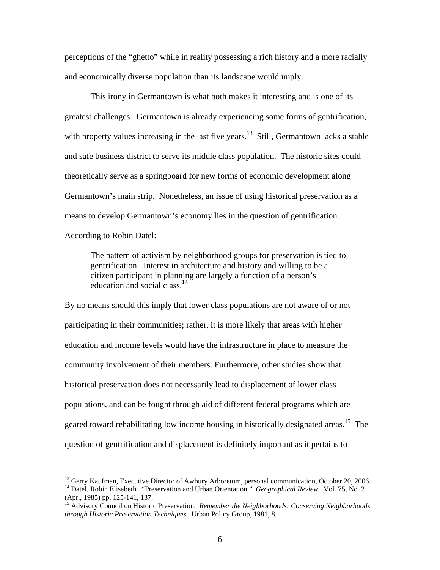perceptions of the "ghetto" while in reality possessing a rich history and a more racially and economically diverse population than its landscape would imply.

 This irony in Germantown is what both makes it interesting and is one of its greatest challenges. Germantown is already experiencing some forms of gentrification, with property values increasing in the last five years.<sup>13</sup> Still, Germantown lacks a stable and safe business district to serve its middle class population. The historic sites could theoretically serve as a springboard for new forms of economic development along Germantown's main strip. Nonetheless, an issue of using historical preservation as a means to develop Germantown's economy lies in the question of gentrification. According to Robin Datel:

The pattern of activism by neighborhood groups for preservation is tied to gentrification. Interest in architecture and history and willing to be a citizen participant in planning are largely a function of a person's education and social class.<sup>14</sup>

By no means should this imply that lower class populations are not aware of or not participating in their communities; rather, it is more likely that areas with higher education and income levels would have the infrastructure in place to measure the community involvement of their members. Furthermore, other studies show that historical preservation does not necessarily lead to displacement of lower class populations, and can be fought through aid of different federal programs which are geared toward rehabilitating low income housing in historically designated areas.<sup>15</sup> The question of gentrification and displacement is definitely important as it pertains to

<sup>&</sup>lt;sup>13</sup> Gerry Kaufman, Executive Director of Awbury Arboretum, personal communication, October 20, 2006.

<sup>&</sup>lt;sup>14</sup> Datel, Robin Elisabeth. "Preservation and Urban Orientation." *Geographical Review.* Vol. 75, No. 2 (Apr., 1985) pp. 125-141, 137.

<sup>15</sup> Advisory Council on Historic Preservation. *Remember the Neighborhoods: Conserving Neighborhoods through Historic Preservation Techniques.* Urban Policy Group, 1981, 8.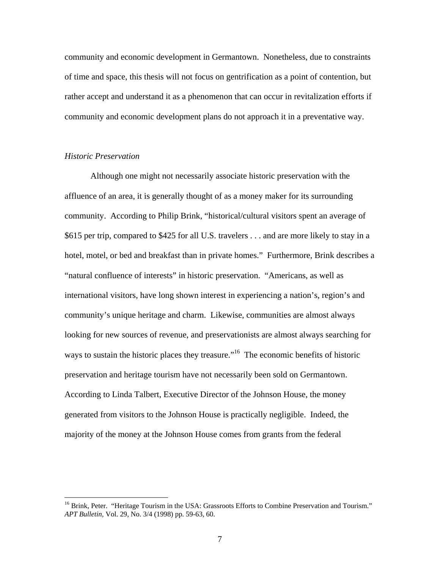community and economic development in Germantown. Nonetheless, due to constraints of time and space, this thesis will not focus on gentrification as a point of contention, but rather accept and understand it as a phenomenon that can occur in revitalization efforts if community and economic development plans do not approach it in a preventative way.

### *Historic Preservation*

1

 Although one might not necessarily associate historic preservation with the affluence of an area, it is generally thought of as a money maker for its surrounding community. According to Philip Brink, "historical/cultural visitors spent an average of \$615 per trip, compared to \$425 for all U.S. travelers . . . and are more likely to stay in a hotel, motel, or bed and breakfast than in private homes." Furthermore, Brink describes a "natural confluence of interests" in historic preservation. "Americans, as well as international visitors, have long shown interest in experiencing a nation's, region's and community's unique heritage and charm. Likewise, communities are almost always looking for new sources of revenue, and preservationists are almost always searching for ways to sustain the historic places they treasure."<sup>16</sup> The economic benefits of historic preservation and heritage tourism have not necessarily been sold on Germantown. According to Linda Talbert, Executive Director of the Johnson House, the money generated from visitors to the Johnson House is practically negligible. Indeed, the majority of the money at the Johnson House comes from grants from the federal

<sup>&</sup>lt;sup>16</sup> Brink, Peter. "Heritage Tourism in the USA: Grassroots Efforts to Combine Preservation and Tourism." *APT Bulletin,* Vol. 29, No. 3/4 (1998) pp. 59-63, 60.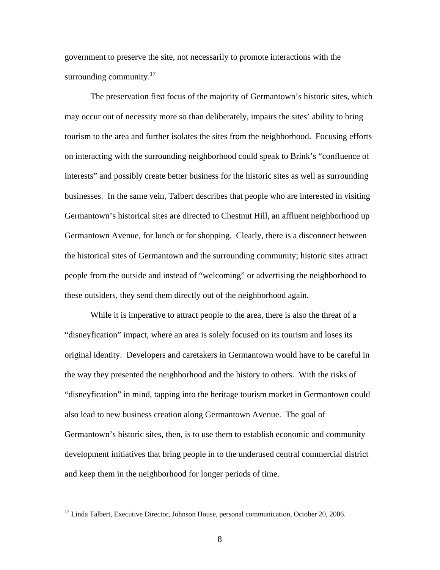government to preserve the site, not necessarily to promote interactions with the surrounding community. $17$ 

The preservation first focus of the majority of Germantown's historic sites, which may occur out of necessity more so than deliberately, impairs the sites' ability to bring tourism to the area and further isolates the sites from the neighborhood. Focusing efforts on interacting with the surrounding neighborhood could speak to Brink's "confluence of interests" and possibly create better business for the historic sites as well as surrounding businesses. In the same vein, Talbert describes that people who are interested in visiting Germantown's historical sites are directed to Chestnut Hill, an affluent neighborhood up Germantown Avenue, for lunch or for shopping. Clearly, there is a disconnect between the historical sites of Germantown and the surrounding community; historic sites attract people from the outside and instead of "welcoming" or advertising the neighborhood to these outsiders, they send them directly out of the neighborhood again.

While it is imperative to attract people to the area, there is also the threat of a "disneyfication" impact, where an area is solely focused on its tourism and loses its original identity. Developers and caretakers in Germantown would have to be careful in the way they presented the neighborhood and the history to others. With the risks of "disneyfication" in mind, tapping into the heritage tourism market in Germantown could also lead to new business creation along Germantown Avenue. The goal of Germantown's historic sites, then, is to use them to establish economic and community development initiatives that bring people in to the underused central commercial district and keep them in the neighborhood for longer periods of time.

 $\overline{a}$ 

<sup>&</sup>lt;sup>17</sup> Linda Talbert, Executive Director, Johnson House, personal communication, October 20, 2006.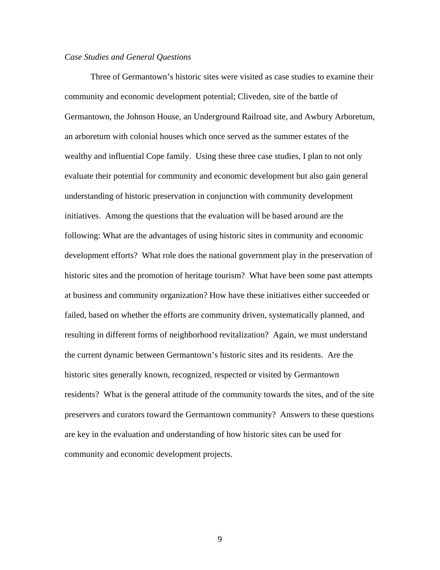### *Case Studies and General Questions*

Three of Germantown's historic sites were visited as case studies to examine their community and economic development potential; Cliveden, site of the battle of Germantown, the Johnson House, an Underground Railroad site, and Awbury Arboretum, an arboretum with colonial houses which once served as the summer estates of the wealthy and influential Cope family. Using these three case studies, I plan to not only evaluate their potential for community and economic development but also gain general understanding of historic preservation in conjunction with community development initiatives. Among the questions that the evaluation will be based around are the following: What are the advantages of using historic sites in community and economic development efforts? What role does the national government play in the preservation of historic sites and the promotion of heritage tourism? What have been some past attempts at business and community organization? How have these initiatives either succeeded or failed, based on whether the efforts are community driven, systematically planned, and resulting in different forms of neighborhood revitalization? Again, we must understand the current dynamic between Germantown's historic sites and its residents. Are the historic sites generally known, recognized, respected or visited by Germantown residents? What is the general attitude of the community towards the sites, and of the site preservers and curators toward the Germantown community? Answers to these questions are key in the evaluation and understanding of how historic sites can be used for community and economic development projects.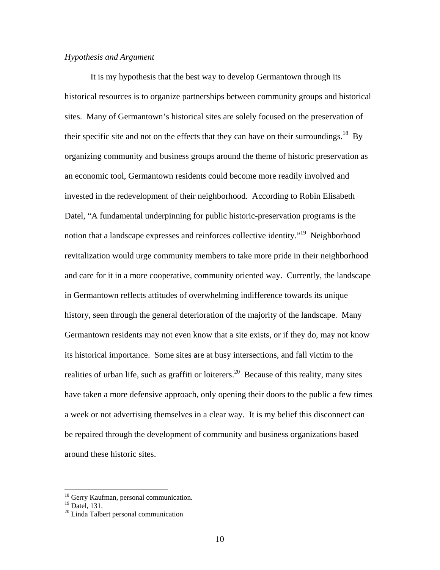## *Hypothesis and Argument*

 It is my hypothesis that the best way to develop Germantown through its historical resources is to organize partnerships between community groups and historical sites. Many of Germantown's historical sites are solely focused on the preservation of their specific site and not on the effects that they can have on their surroundings.<sup>18</sup> By organizing community and business groups around the theme of historic preservation as an economic tool, Germantown residents could become more readily involved and invested in the redevelopment of their neighborhood. According to Robin Elisabeth Datel, "A fundamental underpinning for public historic-preservation programs is the notion that a landscape expresses and reinforces collective identity."<sup>19</sup> Neighborhood revitalization would urge community members to take more pride in their neighborhood and care for it in a more cooperative, community oriented way. Currently, the landscape in Germantown reflects attitudes of overwhelming indifference towards its unique history, seen through the general deterioration of the majority of the landscape. Many Germantown residents may not even know that a site exists, or if they do, may not know its historical importance. Some sites are at busy intersections, and fall victim to the realities of urban life, such as graffiti or loiterers.<sup>20</sup> Because of this reality, many sites have taken a more defensive approach, only opening their doors to the public a few times a week or not advertising themselves in a clear way. It is my belief this disconnect can be repaired through the development of community and business organizations based around these historic sites.

<sup>&</sup>lt;sup>18</sup> Gerry Kaufman, personal communication.

 $19$  Datel, 131.

<sup>20</sup> Linda Talbert personal communication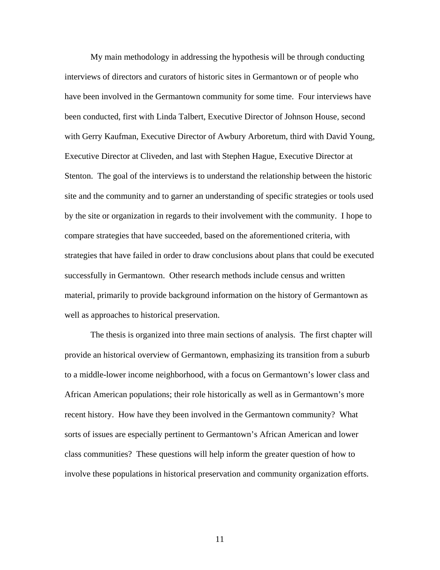My main methodology in addressing the hypothesis will be through conducting interviews of directors and curators of historic sites in Germantown or of people who have been involved in the Germantown community for some time. Four interviews have been conducted, first with Linda Talbert, Executive Director of Johnson House, second with Gerry Kaufman, Executive Director of Awbury Arboretum, third with David Young, Executive Director at Cliveden, and last with Stephen Hague, Executive Director at Stenton. The goal of the interviews is to understand the relationship between the historic site and the community and to garner an understanding of specific strategies or tools used by the site or organization in regards to their involvement with the community. I hope to compare strategies that have succeeded, based on the aforementioned criteria, with strategies that have failed in order to draw conclusions about plans that could be executed successfully in Germantown. Other research methods include census and written material, primarily to provide background information on the history of Germantown as well as approaches to historical preservation.

 The thesis is organized into three main sections of analysis. The first chapter will provide an historical overview of Germantown, emphasizing its transition from a suburb to a middle-lower income neighborhood, with a focus on Germantown's lower class and African American populations; their role historically as well as in Germantown's more recent history. How have they been involved in the Germantown community? What sorts of issues are especially pertinent to Germantown's African American and lower class communities? These questions will help inform the greater question of how to involve these populations in historical preservation and community organization efforts.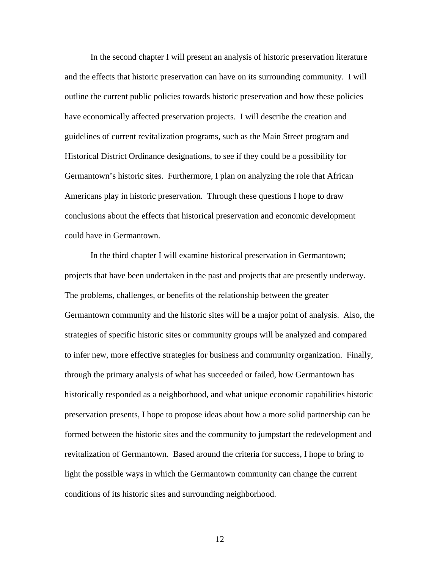In the second chapter I will present an analysis of historic preservation literature and the effects that historic preservation can have on its surrounding community. I will outline the current public policies towards historic preservation and how these policies have economically affected preservation projects. I will describe the creation and guidelines of current revitalization programs, such as the Main Street program and Historical District Ordinance designations, to see if they could be a possibility for Germantown's historic sites. Furthermore, I plan on analyzing the role that African Americans play in historic preservation. Through these questions I hope to draw conclusions about the effects that historical preservation and economic development could have in Germantown.

 In the third chapter I will examine historical preservation in Germantown; projects that have been undertaken in the past and projects that are presently underway. The problems, challenges, or benefits of the relationship between the greater Germantown community and the historic sites will be a major point of analysis. Also, the strategies of specific historic sites or community groups will be analyzed and compared to infer new, more effective strategies for business and community organization. Finally, through the primary analysis of what has succeeded or failed, how Germantown has historically responded as a neighborhood, and what unique economic capabilities historic preservation presents, I hope to propose ideas about how a more solid partnership can be formed between the historic sites and the community to jumpstart the redevelopment and revitalization of Germantown. Based around the criteria for success, I hope to bring to light the possible ways in which the Germantown community can change the current conditions of its historic sites and surrounding neighborhood.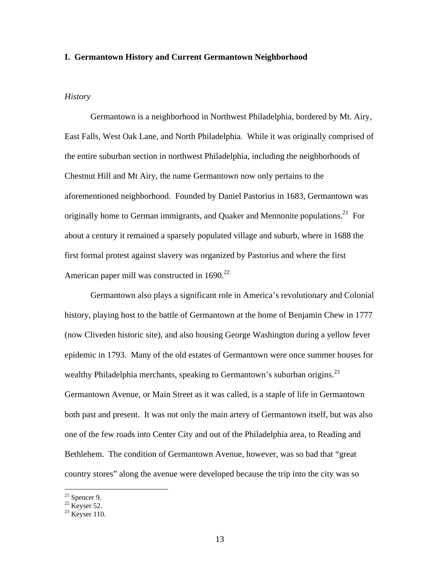### **I. Germantown History and Current Germantown Neighborhood**

### *History*

Germantown is a neighborhood in Northwest Philadelphia, bordered by Mt. Airy, East Falls, West Oak Lane, and North Philadelphia. While it was originally comprised of the entire suburban section in northwest Philadelphia, including the neighborhoods of Chestnut Hill and Mt Airy, the name Germantown now only pertains to the aforementioned neighborhood. Founded by Daniel Pastorius in 1683, Germantown was originally home to German immigrants, and Quaker and Mennonite populations.<sup>21</sup> For about a century it remained a sparsely populated village and suburb, where in 1688 the first formal protest against slavery was organized by Pastorius and where the first American paper mill was constructed in 1690.<sup>22</sup>

 Germantown also plays a significant role in America's revolutionary and Colonial history, playing host to the battle of Germantown at the home of Benjamin Chew in 1777 (now Cliveden historic site), and also housing George Washington during a yellow fever epidemic in 1793. Many of the old estates of Germantown were once summer houses for wealthy Philadelphia merchants, speaking to Germantown's suburban origins.<sup>23</sup> Germantown Avenue, or Main Street as it was called, is a staple of life in Germantown both past and present. It was not only the main artery of Germantown itself, but was also one of the few roads into Center City and out of the Philadelphia area, to Reading and Bethlehem. The condition of Germantown Avenue, however, was so bad that "great country stores" along the avenue were developed because the trip into the city was so

 $21$  Spencer 9.

 $22$  Keyser 52.

 $23$  Keyser 110.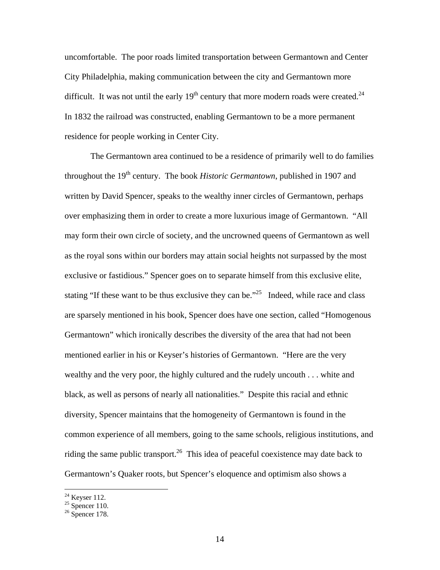uncomfortable. The poor roads limited transportation between Germantown and Center City Philadelphia, making communication between the city and Germantown more difficult. It was not until the early  $19<sup>th</sup>$  century that more modern roads were created.<sup>24</sup> In 1832 the railroad was constructed, enabling Germantown to be a more permanent residence for people working in Center City.

 The Germantown area continued to be a residence of primarily well to do families throughout the 19<sup>th</sup> century. The book *Historic Germantown*, published in 1907 and written by David Spencer, speaks to the wealthy inner circles of Germantown, perhaps over emphasizing them in order to create a more luxurious image of Germantown. "All may form their own circle of society, and the uncrowned queens of Germantown as well as the royal sons within our borders may attain social heights not surpassed by the most exclusive or fastidious." Spencer goes on to separate himself from this exclusive elite, stating "If these want to be thus exclusive they can be."<sup>25</sup> Indeed, while race and class are sparsely mentioned in his book, Spencer does have one section, called "Homogenous Germantown" which ironically describes the diversity of the area that had not been mentioned earlier in his or Keyser's histories of Germantown. "Here are the very wealthy and the very poor, the highly cultured and the rudely uncouth . . . white and black, as well as persons of nearly all nationalities." Despite this racial and ethnic diversity, Spencer maintains that the homogeneity of Germantown is found in the common experience of all members, going to the same schools, religious institutions, and riding the same public transport.<sup>26</sup> This idea of peaceful coexistence may date back to Germantown's Quaker roots, but Spencer's eloquence and optimism also shows a

 $24$  Keyser 112.

 $25$  Spencer 110.

 $26$  Spencer 178.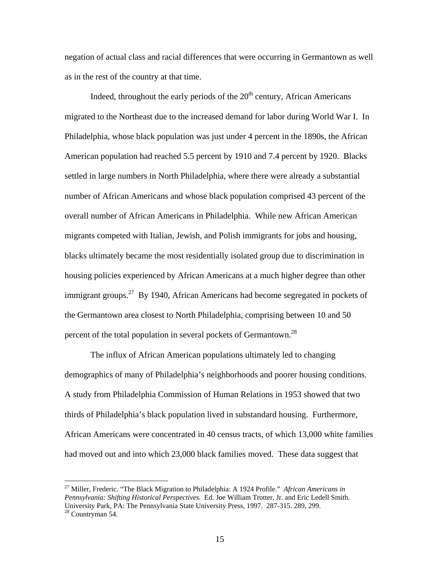negation of actual class and racial differences that were occurring in Germantown as well as in the rest of the country at that time.

Indeed, throughout the early periods of the  $20<sup>th</sup>$  century, African Americans migrated to the Northeast due to the increased demand for labor during World War I. In Philadelphia, whose black population was just under 4 percent in the 1890s, the African American population had reached 5.5 percent by 1910 and 7.4 percent by 1920. Blacks settled in large numbers in North Philadelphia, where there were already a substantial number of African Americans and whose black population comprised 43 percent of the overall number of African Americans in Philadelphia. While new African American migrants competed with Italian, Jewish, and Polish immigrants for jobs and housing, blacks ultimately became the most residentially isolated group due to discrimination in housing policies experienced by African Americans at a much higher degree than other immigrant groups.<sup>27</sup> By 1940, African Americans had become segregated in pockets of the Germantown area closest to North Philadelphia, comprising between 10 and 50 percent of the total population in several pockets of Germantown.<sup>28</sup>

 The influx of African American populations ultimately led to changing demographics of many of Philadelphia's neighborhoods and poorer housing conditions. A study from Philadelphia Commission of Human Relations in 1953 showed that two thirds of Philadelphia's black population lived in substandard housing. Furthermore, African Americans were concentrated in 40 census tracts, of which 13,000 white families had moved out and into which 23,000 black families moved. These data suggest that

<sup>27</sup> Miller, Frederic. "The Black Migration to Philadelphia: A 1924 Profile." *African Americans in Pennsylvania: Shifting Historical Perspectives.* Ed. Joe William Trotter, Jr. and Eric Ledell Smith. University Park, PA: The Pennsylvania State University Press, 1997. 287-315. 289, 299. <sup>28</sup> Countryman 54.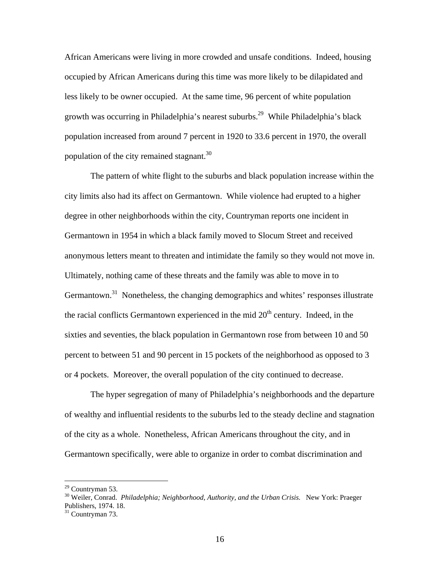African Americans were living in more crowded and unsafe conditions. Indeed, housing occupied by African Americans during this time was more likely to be dilapidated and less likely to be owner occupied. At the same time, 96 percent of white population growth was occurring in Philadelphia's nearest suburbs.29 While Philadelphia's black population increased from around 7 percent in 1920 to 33.6 percent in 1970, the overall population of the city remained stagnant.<sup>30</sup>

 The pattern of white flight to the suburbs and black population increase within the city limits also had its affect on Germantown. While violence had erupted to a higher degree in other neighborhoods within the city, Countryman reports one incident in Germantown in 1954 in which a black family moved to Slocum Street and received anonymous letters meant to threaten and intimidate the family so they would not move in. Ultimately, nothing came of these threats and the family was able to move in to Germantown.<sup>31</sup> Nonetheless, the changing demographics and whites' responses illustrate the racial conflicts Germantown experienced in the mid  $20<sup>th</sup>$  century. Indeed, in the sixties and seventies, the black population in Germantown rose from between 10 and 50 percent to between 51 and 90 percent in 15 pockets of the neighborhood as opposed to 3 or 4 pockets. Moreover, the overall population of the city continued to decrease.

 The hyper segregation of many of Philadelphia's neighborhoods and the departure of wealthy and influential residents to the suburbs led to the steady decline and stagnation of the city as a whole. Nonetheless, African Americans throughout the city, and in Germantown specifically, were able to organize in order to combat discrimination and

 $29$  Countryman 53.

<sup>&</sup>lt;sup>30</sup> Weiler, Conrad. *Philadelphia; Neighborhood, Authority, and the Urban Crisis.* New York: Praeger Publishers, 1974. 18.

 $31$  Countryman 73.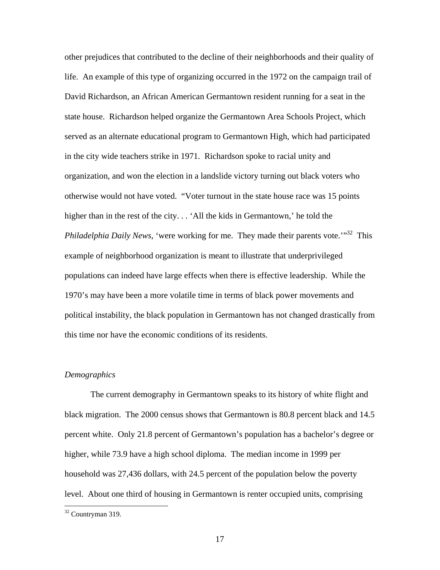other prejudices that contributed to the decline of their neighborhoods and their quality of life. An example of this type of organizing occurred in the 1972 on the campaign trail of David Richardson, an African American Germantown resident running for a seat in the state house. Richardson helped organize the Germantown Area Schools Project, which served as an alternate educational program to Germantown High, which had participated in the city wide teachers strike in 1971. Richardson spoke to racial unity and organization, and won the election in a landslide victory turning out black voters who otherwise would not have voted. "Voter turnout in the state house race was 15 points higher than in the rest of the city... 'All the kids in Germantown,' he told the *Philadelphia Daily News*, 'were working for me. They made their parents vote.'"<sup>32</sup> This example of neighborhood organization is meant to illustrate that underprivileged populations can indeed have large effects when there is effective leadership. While the 1970's may have been a more volatile time in terms of black power movements and political instability, the black population in Germantown has not changed drastically from this time nor have the economic conditions of its residents.

### *Demographics*

 The current demography in Germantown speaks to its history of white flight and black migration. The 2000 census shows that Germantown is 80.8 percent black and 14.5 percent white. Only 21.8 percent of Germantown's population has a bachelor's degree or higher, while 73.9 have a high school diploma. The median income in 1999 per household was 27,436 dollars, with 24.5 percent of the population below the poverty level. About one third of housing in Germantown is renter occupied units, comprising

<sup>32</sup> Countryman 319.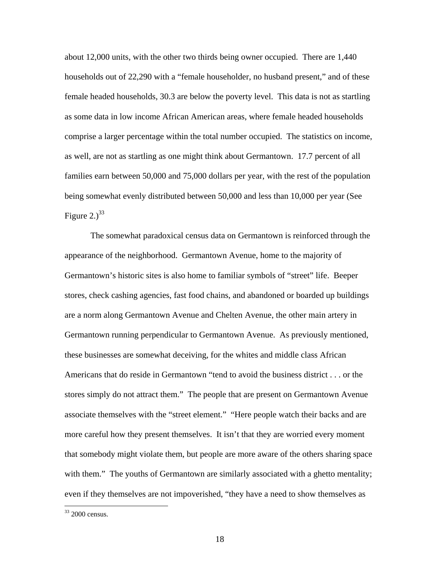about 12,000 units, with the other two thirds being owner occupied. There are 1,440 households out of 22,290 with a "female householder, no husband present," and of these female headed households, 30.3 are below the poverty level. This data is not as startling as some data in low income African American areas, where female headed households comprise a larger percentage within the total number occupied. The statistics on income, as well, are not as startling as one might think about Germantown. 17.7 percent of all families earn between 50,000 and 75,000 dollars per year, with the rest of the population being somewhat evenly distributed between 50,000 and less than 10,000 per year (See Figure 2.) $^{33}$ 

 The somewhat paradoxical census data on Germantown is reinforced through the appearance of the neighborhood. Germantown Avenue, home to the majority of Germantown's historic sites is also home to familiar symbols of "street" life. Beeper stores, check cashing agencies, fast food chains, and abandoned or boarded up buildings are a norm along Germantown Avenue and Chelten Avenue, the other main artery in Germantown running perpendicular to Germantown Avenue. As previously mentioned, these businesses are somewhat deceiving, for the whites and middle class African Americans that do reside in Germantown "tend to avoid the business district . . . or the stores simply do not attract them." The people that are present on Germantown Avenue associate themselves with the "street element." "Here people watch their backs and are more careful how they present themselves. It isn't that they are worried every moment that somebody might violate them, but people are more aware of the others sharing space with them." The youths of Germantown are similarly associated with a ghetto mentality; even if they themselves are not impoverished, "they have a need to show themselves as

 $33$  2000 census.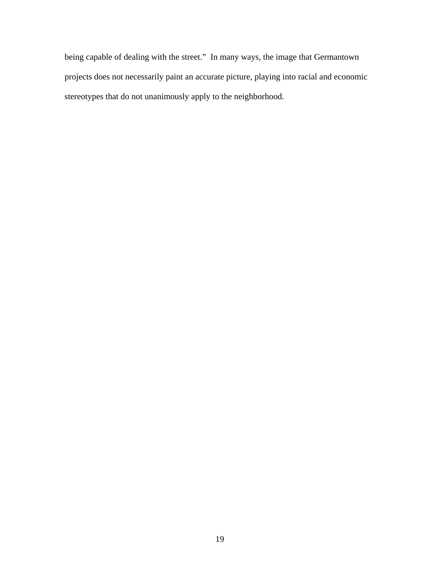being capable of dealing with the street." In many ways, the image that Germantown projects does not necessarily paint an accurate picture, playing into racial and economic stereotypes that do not unanimously apply to the neighborhood.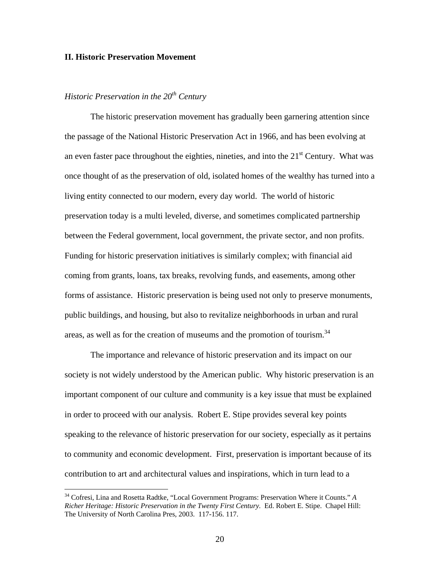### **II. Historic Preservation Movement**

# *Historic Preservation in the 20<sup>th</sup> Century*

1

The historic preservation movement has gradually been garnering attention since the passage of the National Historic Preservation Act in 1966, and has been evolving at an even faster pace throughout the eighties, nineties, and into the  $21<sup>st</sup>$  Century. What was once thought of as the preservation of old, isolated homes of the wealthy has turned into a living entity connected to our modern, every day world. The world of historic preservation today is a multi leveled, diverse, and sometimes complicated partnership between the Federal government, local government, the private sector, and non profits. Funding for historic preservation initiatives is similarly complex; with financial aid coming from grants, loans, tax breaks, revolving funds, and easements, among other forms of assistance. Historic preservation is being used not only to preserve monuments, public buildings, and housing, but also to revitalize neighborhoods in urban and rural areas, as well as for the creation of museums and the promotion of tourism.<sup>34</sup>

The importance and relevance of historic preservation and its impact on our society is not widely understood by the American public. Why historic preservation is an important component of our culture and community is a key issue that must be explained in order to proceed with our analysis. Robert E. Stipe provides several key points speaking to the relevance of historic preservation for our society, especially as it pertains to community and economic development. First, preservation is important because of its contribution to art and architectural values and inspirations, which in turn lead to a

<sup>34</sup> Cofresi, Lina and Rosetta Radtke, "Local Government Programs: Preservation Where it Counts." *A Richer Heritage: Historic Preservation in the Twenty First Century.* Ed. Robert E. Stipe. Chapel Hill: The University of North Carolina Pres, 2003. 117-156. 117.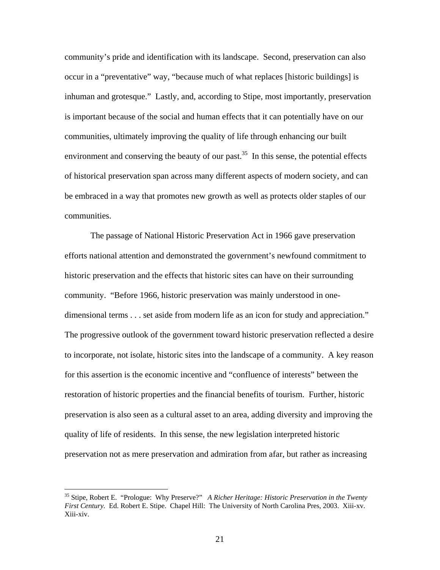community's pride and identification with its landscape. Second, preservation can also occur in a "preventative" way, "because much of what replaces [historic buildings] is inhuman and grotesque." Lastly, and, according to Stipe, most importantly, preservation is important because of the social and human effects that it can potentially have on our communities, ultimately improving the quality of life through enhancing our built environment and conserving the beauty of our past.<sup>35</sup> In this sense, the potential effects of historical preservation span across many different aspects of modern society, and can be embraced in a way that promotes new growth as well as protects older staples of our communities.

The passage of National Historic Preservation Act in 1966 gave preservation efforts national attention and demonstrated the government's newfound commitment to historic preservation and the effects that historic sites can have on their surrounding community. "Before 1966, historic preservation was mainly understood in onedimensional terms . . . set aside from modern life as an icon for study and appreciation." The progressive outlook of the government toward historic preservation reflected a desire to incorporate, not isolate, historic sites into the landscape of a community. A key reason for this assertion is the economic incentive and "confluence of interests" between the restoration of historic properties and the financial benefits of tourism. Further, historic preservation is also seen as a cultural asset to an area, adding diversity and improving the quality of life of residents. In this sense, the new legislation interpreted historic preservation not as mere preservation and admiration from afar, but rather as increasing

<sup>35</sup> Stipe, Robert E. "Prologue: Why Preserve?" *A Richer Heritage: Historic Preservation in the Twenty First Century.* Ed. Robert E. Stipe. Chapel Hill: The University of North Carolina Pres, 2003. Xiii-xv. Xiii-xiv.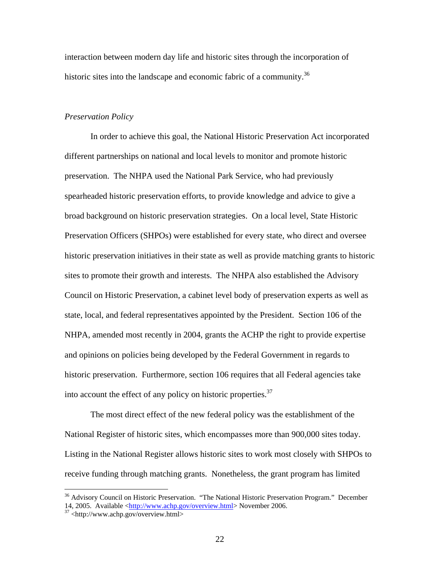interaction between modern day life and historic sites through the incorporation of historic sites into the landscape and economic fabric of a community.<sup>36</sup>

### *Preservation Policy*

In order to achieve this goal, the National Historic Preservation Act incorporated different partnerships on national and local levels to monitor and promote historic preservation. The NHPA used the National Park Service, who had previously spearheaded historic preservation efforts, to provide knowledge and advice to give a broad background on historic preservation strategies. On a local level, State Historic Preservation Officers (SHPOs) were established for every state, who direct and oversee historic preservation initiatives in their state as well as provide matching grants to historic sites to promote their growth and interests. The NHPA also established the Advisory Council on Historic Preservation, a cabinet level body of preservation experts as well as state, local, and federal representatives appointed by the President. Section 106 of the NHPA, amended most recently in 2004, grants the ACHP the right to provide expertise and opinions on policies being developed by the Federal Government in regards to historic preservation. Furthermore, section 106 requires that all Federal agencies take into account the effect of any policy on historic properties.<sup>37</sup>

The most direct effect of the new federal policy was the establishment of the National Register of historic sites, which encompasses more than 900,000 sites today. Listing in the National Register allows historic sites to work most closely with SHPOs to receive funding through matching grants. Nonetheless, the grant program has limited

<sup>&</sup>lt;sup>36</sup> Advisory Council on Historic Preservation. "The National Historic Preservation Program." December 14, 2005. Available  $\langle \frac{http://www.achp.gov/overview.html}{http://www.achp.gov/overview.html}\rangle$  November 2006.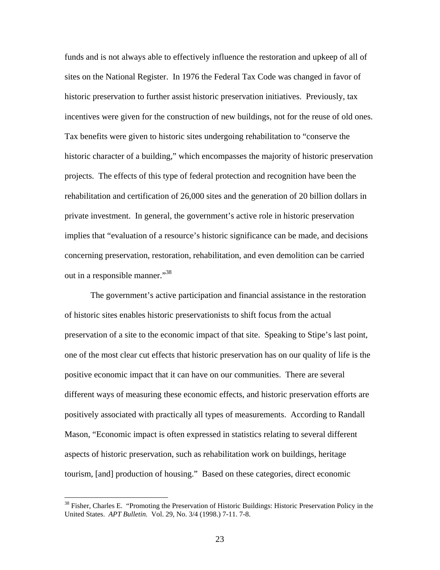funds and is not always able to effectively influence the restoration and upkeep of all of sites on the National Register. In 1976 the Federal Tax Code was changed in favor of historic preservation to further assist historic preservation initiatives. Previously, tax incentives were given for the construction of new buildings, not for the reuse of old ones. Tax benefits were given to historic sites undergoing rehabilitation to "conserve the historic character of a building," which encompasses the majority of historic preservation projects. The effects of this type of federal protection and recognition have been the rehabilitation and certification of 26,000 sites and the generation of 20 billion dollars in private investment. In general, the government's active role in historic preservation implies that "evaluation of a resource's historic significance can be made, and decisions concerning preservation, restoration, rehabilitation, and even demolition can be carried out in a responsible manner."38

The government's active participation and financial assistance in the restoration of historic sites enables historic preservationists to shift focus from the actual preservation of a site to the economic impact of that site. Speaking to Stipe's last point, one of the most clear cut effects that historic preservation has on our quality of life is the positive economic impact that it can have on our communities. There are several different ways of measuring these economic effects, and historic preservation efforts are positively associated with practically all types of measurements. According to Randall Mason, "Economic impact is often expressed in statistics relating to several different aspects of historic preservation, such as rehabilitation work on buildings, heritage tourism, [and] production of housing." Based on these categories, direct economic

<sup>&</sup>lt;sup>38</sup> Fisher, Charles E. "Promoting the Preservation of Historic Buildings: Historic Preservation Policy in the United States. *APT Bulletin.* Vol. 29, No. 3/4 (1998.) 7-11. 7-8.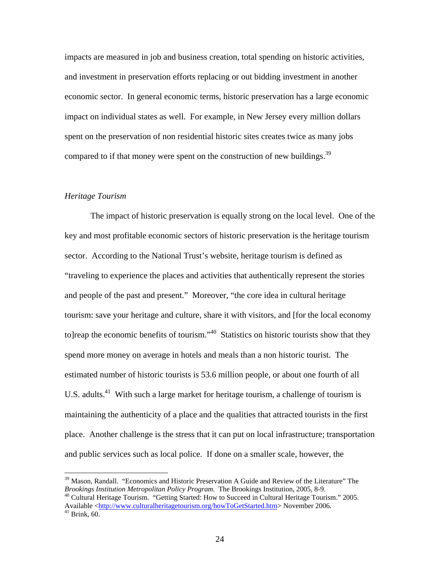impacts are measured in job and business creation, total spending on historic activities, and investment in preservation efforts replacing or out bidding investment in another economic sector. In general economic terms, historic preservation has a large economic impact on individual states as well. For example, in New Jersey every million dollars spent on the preservation of non residential historic sites creates twice as many jobs compared to if that money were spent on the construction of new buildings.<sup>39</sup>

#### *Heritage Tourism*

The impact of historic preservation is equally strong on the local level. One of the key and most profitable economic sectors of historic preservation is the heritage tourism sector. According to the National Trust's website, heritage tourism is defined as "traveling to experience the places and activities that authentically represent the stories and people of the past and present." Moreover, "the core idea in cultural heritage tourism: save your heritage and culture, share it with visitors, and [for the local economy to]reap the economic benefits of tourism."<sup>40</sup> Statistics on historic tourists show that they spend more money on average in hotels and meals than a non historic tourist. The estimated number of historic tourists is 53.6 million people, or about one fourth of all U.S. adults.<sup>41</sup> With such a large market for heritage tourism, a challenge of tourism is maintaining the authenticity of a place and the qualities that attracted tourists in the first place. Another challenge is the stress that it can put on local infrastructure; transportation and public services such as local police. If done on a smaller scale, however, the

<sup>40</sup> Cultural Heritage Tourism. "Getting Started: How to Succeed in Cultural Heritage Tourism." 2005. Available <http://www.culturalheritagetourism.org/howToGetStarted.htm> November 2006.

 $\overline{a}$ 

 $39$  Mason, Randall. "Economics and Historic Preservation A Guide and Review of the Literature" The *Brookings Institution Metropolitan Policy Program*. The Brookings Institution, 2005, 8-9.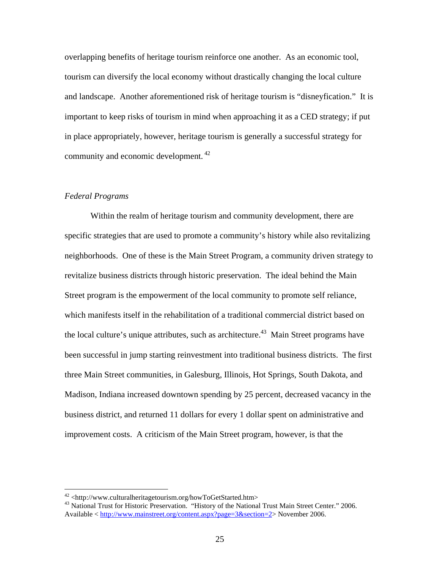overlapping benefits of heritage tourism reinforce one another. As an economic tool, tourism can diversify the local economy without drastically changing the local culture and landscape. Another aforementioned risk of heritage tourism is "disneyfication." It is important to keep risks of tourism in mind when approaching it as a CED strategy; if put in place appropriately, however, heritage tourism is generally a successful strategy for community and economic development. 42

### *Federal Programs*

1

Within the realm of heritage tourism and community development, there are specific strategies that are used to promote a community's history while also revitalizing neighborhoods. One of these is the Main Street Program, a community driven strategy to revitalize business districts through historic preservation. The ideal behind the Main Street program is the empowerment of the local community to promote self reliance, which manifests itself in the rehabilitation of a traditional commercial district based on the local culture's unique attributes, such as architecture.<sup>43</sup> Main Street programs have been successful in jump starting reinvestment into traditional business districts. The first three Main Street communities, in Galesburg, Illinois, Hot Springs, South Dakota, and Madison, Indiana increased downtown spending by 25 percent, decreased vacancy in the business district, and returned 11 dollars for every 1 dollar spent on administrative and improvement costs. A criticism of the Main Street program, however, is that the

 $42$  <http://www.culturalheritagetourism.org/howToGetStarted.htm>

<sup>&</sup>lt;sup>43</sup> National Trust for Historic Preservation. "History of the National Trust Main Street Center." 2006. Available  $\langle \text{http://www.mainstreet.org/content.aspx?page=3&section=2>November 2006.}$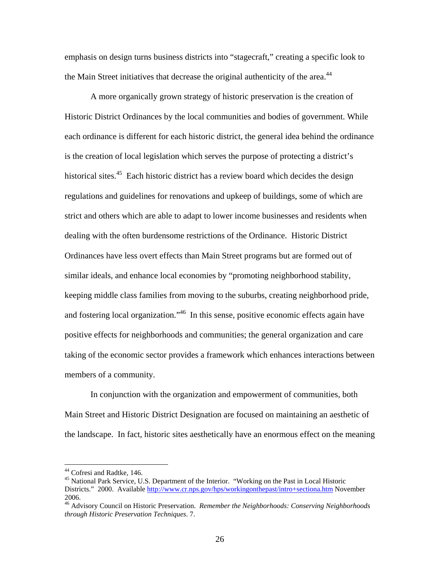emphasis on design turns business districts into "stagecraft," creating a specific look to the Main Street initiatives that decrease the original authenticity of the area.<sup>44</sup>

A more organically grown strategy of historic preservation is the creation of Historic District Ordinances by the local communities and bodies of government. While each ordinance is different for each historic district, the general idea behind the ordinance is the creation of local legislation which serves the purpose of protecting a district's historical sites.<sup>45</sup> Each historic district has a review board which decides the design regulations and guidelines for renovations and upkeep of buildings, some of which are strict and others which are able to adapt to lower income businesses and residents when dealing with the often burdensome restrictions of the Ordinance. Historic District Ordinances have less overt effects than Main Street programs but are formed out of similar ideals, and enhance local economies by "promoting neighborhood stability, keeping middle class families from moving to the suburbs, creating neighborhood pride, and fostering local organization."<sup>46</sup> In this sense, positive economic effects again have positive effects for neighborhoods and communities; the general organization and care taking of the economic sector provides a framework which enhances interactions between members of a community.

In conjunction with the organization and empowerment of communities, both Main Street and Historic District Designation are focused on maintaining an aesthetic of the landscape. In fact, historic sites aesthetically have an enormous effect on the meaning

<sup>&</sup>lt;sup>44</sup> Cofresi and Radtke, 146.

<sup>&</sup>lt;sup>45</sup> National Park Service, U.S. Department of the Interior. "Working on the Past in Local Historic Districts." 2000. Available http://www.cr.nps.gov/hps/workingonthepast/intro+sectiona.htm November 2006.

<sup>46</sup> Advisory Council on Historic Preservation. *Remember the Neighborhoods: Conserving Neighborhoods through Historic Preservation Techniques*. 7.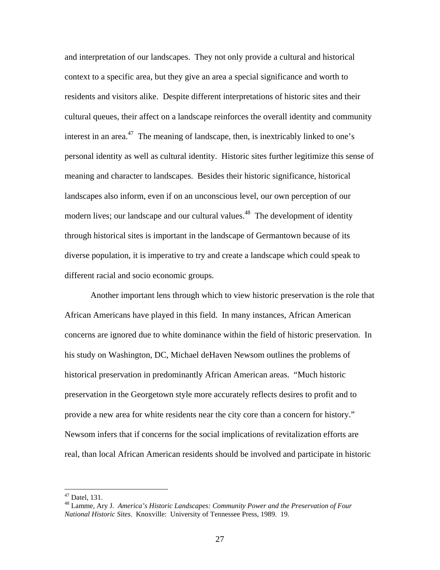and interpretation of our landscapes. They not only provide a cultural and historical context to a specific area, but they give an area a special significance and worth to residents and visitors alike. Despite different interpretations of historic sites and their cultural queues, their affect on a landscape reinforces the overall identity and community interest in an area.<sup>47</sup> The meaning of landscape, then, is inextricably linked to one's personal identity as well as cultural identity. Historic sites further legitimize this sense of meaning and character to landscapes. Besides their historic significance, historical landscapes also inform, even if on an unconscious level, our own perception of our modern lives; our landscape and our cultural values.<sup>48</sup> The development of identity through historical sites is important in the landscape of Germantown because of its diverse population, it is imperative to try and create a landscape which could speak to different racial and socio economic groups.

Another important lens through which to view historic preservation is the role that African Americans have played in this field. In many instances, African American concerns are ignored due to white dominance within the field of historic preservation. In his study on Washington, DC, Michael deHaven Newsom outlines the problems of historical preservation in predominantly African American areas. "Much historic preservation in the Georgetown style more accurately reflects desires to profit and to provide a new area for white residents near the city core than a concern for history." Newsom infers that if concerns for the social implications of revitalization efforts are real, than local African American residents should be involved and participate in historic

<sup>47</sup> Datel, 131.

<sup>48</sup> Lamme, Ary J. *America's Historic Landscapes: Community Power and the Preservation of Four National Historic Sites.* Knoxville: University of Tennessee Press, 1989. 19.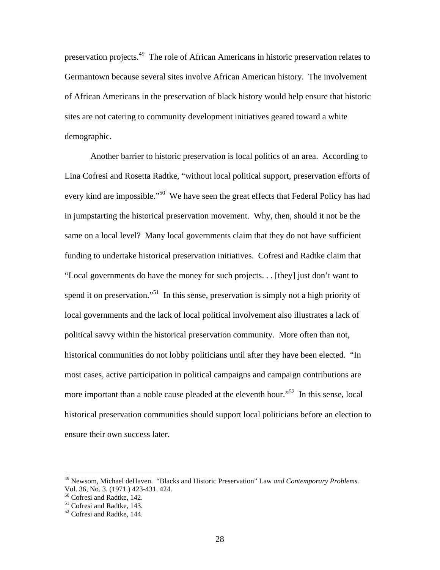preservation projects.49 The role of African Americans in historic preservation relates to Germantown because several sites involve African American history. The involvement of African Americans in the preservation of black history would help ensure that historic sites are not catering to community development initiatives geared toward a white demographic.

Another barrier to historic preservation is local politics of an area. According to Lina Cofresi and Rosetta Radtke, "without local political support, preservation efforts of every kind are impossible."<sup>50</sup> We have seen the great effects that Federal Policy has had in jumpstarting the historical preservation movement. Why, then, should it not be the same on a local level? Many local governments claim that they do not have sufficient funding to undertake historical preservation initiatives. Cofresi and Radtke claim that "Local governments do have the money for such projects. . . [they] just don't want to spend it on preservation."<sup>51</sup> In this sense, preservation is simply not a high priority of local governments and the lack of local political involvement also illustrates a lack of political savvy within the historical preservation community. More often than not, historical communities do not lobby politicians until after they have been elected. "In most cases, active participation in political campaigns and campaign contributions are more important than a noble cause pleaded at the eleventh hour.<sup>552</sup> In this sense, local historical preservation communities should support local politicians before an election to ensure their own success later.

<sup>49</sup> Newsom, Michael deHaven. "Blacks and Historic Preservation" Law *and Contemporary Problems.*  Vol. 36, No. 3. (1971.) 423-431. 424.

<sup>50</sup> Cofresi and Radtke, 142.

<sup>&</sup>lt;sup>51</sup> Cofresi and Radtke, 143.

<sup>52</sup> Cofresi and Radtke, 144.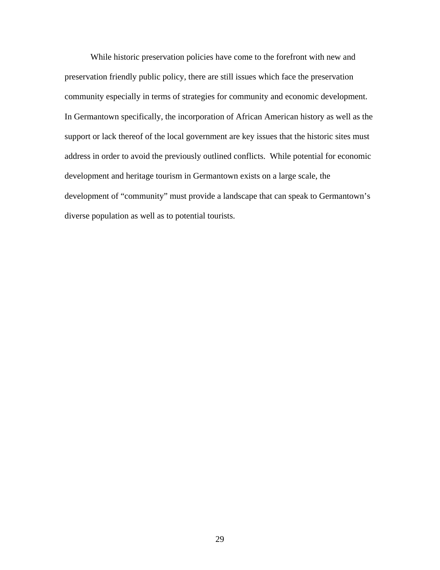While historic preservation policies have come to the forefront with new and preservation friendly public policy, there are still issues which face the preservation community especially in terms of strategies for community and economic development. In Germantown specifically, the incorporation of African American history as well as the support or lack thereof of the local government are key issues that the historic sites must address in order to avoid the previously outlined conflicts. While potential for economic development and heritage tourism in Germantown exists on a large scale, the development of "community" must provide a landscape that can speak to Germantown's diverse population as well as to potential tourists.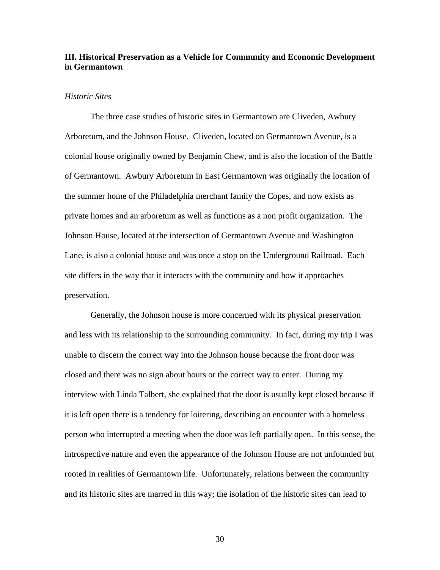# **III. Historical Preservation as a Vehicle for Community and Economic Development in Germantown**

## *Historic Sites*

The three case studies of historic sites in Germantown are Cliveden, Awbury Arboretum, and the Johnson House. Cliveden, located on Germantown Avenue, is a colonial house originally owned by Benjamin Chew, and is also the location of the Battle of Germantown. Awbury Arboretum in East Germantown was originally the location of the summer home of the Philadelphia merchant family the Copes, and now exists as private homes and an arboretum as well as functions as a non profit organization. The Johnson House, located at the intersection of Germantown Avenue and Washington Lane, is also a colonial house and was once a stop on the Underground Railroad. Each site differs in the way that it interacts with the community and how it approaches preservation.

Generally, the Johnson house is more concerned with its physical preservation and less with its relationship to the surrounding community. In fact, during my trip I was unable to discern the correct way into the Johnson house because the front door was closed and there was no sign about hours or the correct way to enter. During my interview with Linda Talbert, she explained that the door is usually kept closed because if it is left open there is a tendency for loitering, describing an encounter with a homeless person who interrupted a meeting when the door was left partially open. In this sense, the introspective nature and even the appearance of the Johnson House are not unfounded but rooted in realities of Germantown life. Unfortunately, relations between the community and its historic sites are marred in this way; the isolation of the historic sites can lead to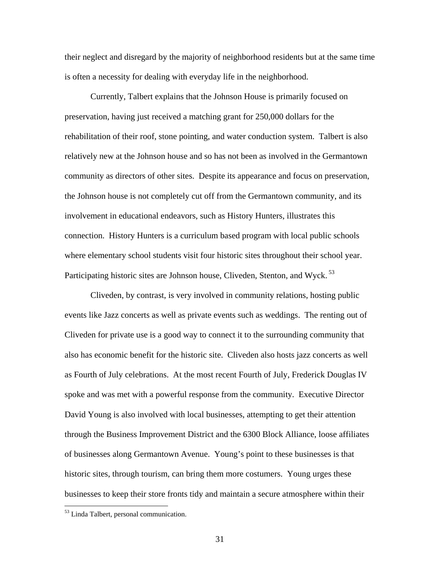their neglect and disregard by the majority of neighborhood residents but at the same time is often a necessity for dealing with everyday life in the neighborhood.

Currently, Talbert explains that the Johnson House is primarily focused on preservation, having just received a matching grant for 250,000 dollars for the rehabilitation of their roof, stone pointing, and water conduction system. Talbert is also relatively new at the Johnson house and so has not been as involved in the Germantown community as directors of other sites. Despite its appearance and focus on preservation, the Johnson house is not completely cut off from the Germantown community, and its involvement in educational endeavors, such as History Hunters, illustrates this connection. History Hunters is a curriculum based program with local public schools where elementary school students visit four historic sites throughout their school year. Participating historic sites are Johnson house, Cliveden, Stenton, and Wyck.<sup>53</sup>

 Cliveden, by contrast, is very involved in community relations, hosting public events like Jazz concerts as well as private events such as weddings. The renting out of Cliveden for private use is a good way to connect it to the surrounding community that also has economic benefit for the historic site. Cliveden also hosts jazz concerts as well as Fourth of July celebrations. At the most recent Fourth of July, Frederick Douglas IV spoke and was met with a powerful response from the community. Executive Director David Young is also involved with local businesses, attempting to get their attention through the Business Improvement District and the 6300 Block Alliance, loose affiliates of businesses along Germantown Avenue. Young's point to these businesses is that historic sites, through tourism, can bring them more costumers. Young urges these businesses to keep their store fronts tidy and maintain a secure atmosphere within their

<sup>53</sup> Linda Talbert, personal communication.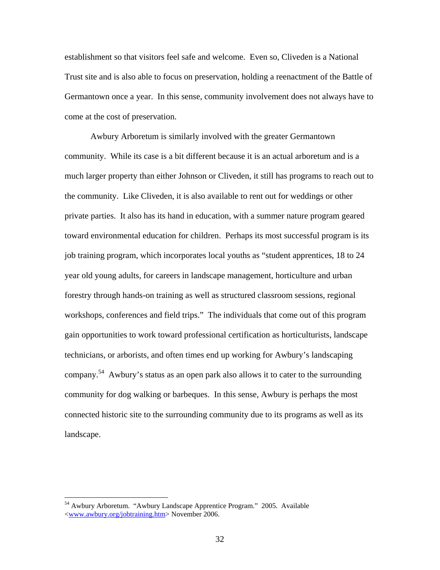establishment so that visitors feel safe and welcome. Even so, Cliveden is a National Trust site and is also able to focus on preservation, holding a reenactment of the Battle of Germantown once a year. In this sense, community involvement does not always have to come at the cost of preservation.

 Awbury Arboretum is similarly involved with the greater Germantown community. While its case is a bit different because it is an actual arboretum and is a much larger property than either Johnson or Cliveden, it still has programs to reach out to the community. Like Cliveden, it is also available to rent out for weddings or other private parties. It also has its hand in education, with a summer nature program geared toward environmental education for children. Perhaps its most successful program is its job training program, which incorporates local youths as "student apprentices, 18 to 24 year old young adults, for careers in landscape management, horticulture and urban forestry through hands-on training as well as structured classroom sessions, regional workshops, conferences and field trips." The individuals that come out of this program gain opportunities to work toward professional certification as horticulturists, landscape technicians, or arborists, and often times end up working for Awbury's landscaping company.54 Awbury's status as an open park also allows it to cater to the surrounding community for dog walking or barbeques. In this sense, Awbury is perhaps the most connected historic site to the surrounding community due to its programs as well as its landscape.

<sup>&</sup>lt;sup>54</sup> Awbury Arboretum. "Awbury Landscape Apprentice Program." 2005. Available <www.awbury.org/jobtraining.htm> November 2006.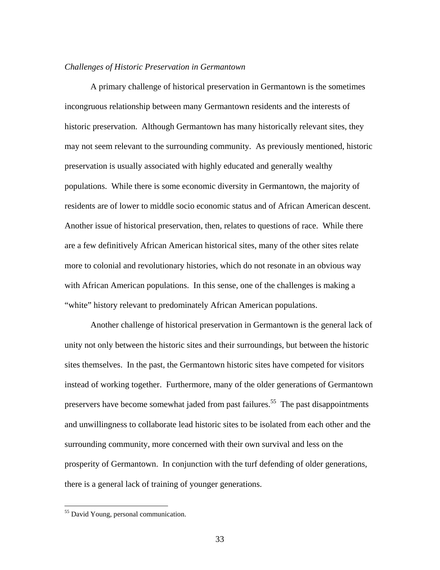### *Challenges of Historic Preservation in Germantown*

 A primary challenge of historical preservation in Germantown is the sometimes incongruous relationship between many Germantown residents and the interests of historic preservation. Although Germantown has many historically relevant sites, they may not seem relevant to the surrounding community. As previously mentioned, historic preservation is usually associated with highly educated and generally wealthy populations. While there is some economic diversity in Germantown, the majority of residents are of lower to middle socio economic status and of African American descent. Another issue of historical preservation, then, relates to questions of race. While there are a few definitively African American historical sites, many of the other sites relate more to colonial and revolutionary histories, which do not resonate in an obvious way with African American populations. In this sense, one of the challenges is making a "white" history relevant to predominately African American populations.

 Another challenge of historical preservation in Germantown is the general lack of unity not only between the historic sites and their surroundings, but between the historic sites themselves. In the past, the Germantown historic sites have competed for visitors instead of working together. Furthermore, many of the older generations of Germantown preservers have become somewhat jaded from past failures.<sup>55</sup> The past disappointments and unwillingness to collaborate lead historic sites to be isolated from each other and the surrounding community, more concerned with their own survival and less on the prosperity of Germantown. In conjunction with the turf defending of older generations, there is a general lack of training of younger generations.

<sup>&</sup>lt;sup>55</sup> David Young, personal communication.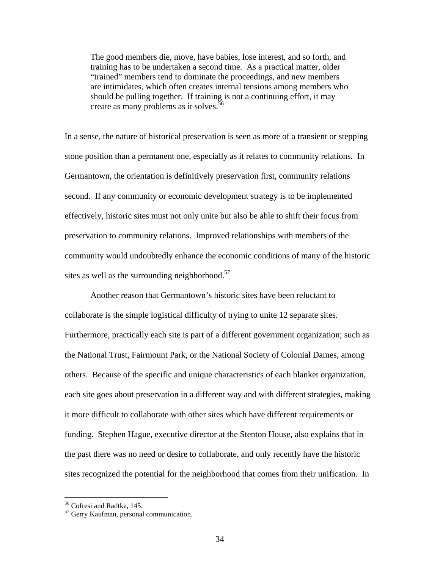The good members die, move, have babies, lose interest, and so forth, and training has to be undertaken a second time. As a practical matter, older "trained" members tend to dominate the proceedings, and new members are intimidates, which often creates internal tensions among members who should be pulling together. If training is not a continuing effort, it may create as many problems as it solves.<sup>56</sup>

In a sense, the nature of historical preservation is seen as more of a transient or stepping stone position than a permanent one, especially as it relates to community relations. In Germantown, the orientation is definitively preservation first, community relations second. If any community or economic development strategy is to be implemented effectively, historic sites must not only unite but also be able to shift their focus from preservation to community relations. Improved relationships with members of the community would undoubtedly enhance the economic conditions of many of the historic sites as well as the surrounding neighborhood. $57$ 

 Another reason that Germantown's historic sites have been reluctant to collaborate is the simple logistical difficulty of trying to unite 12 separate sites. Furthermore, practically each site is part of a different government organization; such as the National Trust, Fairmount Park, or the National Society of Colonial Dames, among others. Because of the specific and unique characteristics of each blanket organization, each site goes about preservation in a different way and with different strategies, making it more difficult to collaborate with other sites which have different requirements or funding. Stephen Hague, executive director at the Stenton House, also explains that in the past there was no need or desire to collaborate, and only recently have the historic sites recognized the potential for the neighborhood that comes from their unification. In

<sup>56</sup> Cofresi and Radtke, 145.

<sup>&</sup>lt;sup>57</sup> Gerry Kaufman, personal communication.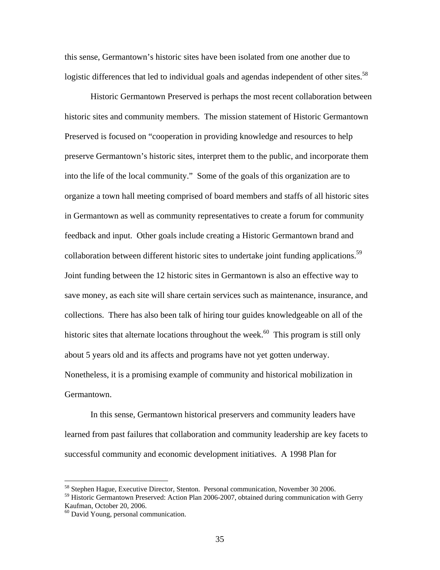this sense, Germantown's historic sites have been isolated from one another due to logistic differences that led to individual goals and agendas independent of other sites.<sup>58</sup>

 Historic Germantown Preserved is perhaps the most recent collaboration between historic sites and community members. The mission statement of Historic Germantown Preserved is focused on "cooperation in providing knowledge and resources to help preserve Germantown's historic sites, interpret them to the public, and incorporate them into the life of the local community." Some of the goals of this organization are to organize a town hall meeting comprised of board members and staffs of all historic sites in Germantown as well as community representatives to create a forum for community feedback and input. Other goals include creating a Historic Germantown brand and collaboration between different historic sites to undertake joint funding applications.<sup>59</sup> Joint funding between the 12 historic sites in Germantown is also an effective way to save money, as each site will share certain services such as maintenance, insurance, and collections. There has also been talk of hiring tour guides knowledgeable on all of the historic sites that alternate locations throughout the week.<sup>60</sup> This program is still only about 5 years old and its affects and programs have not yet gotten underway. Nonetheless, it is a promising example of community and historical mobilization in Germantown.

 In this sense, Germantown historical preservers and community leaders have learned from past failures that collaboration and community leadership are key facets to successful community and economic development initiatives. A 1998 Plan for

<sup>&</sup>lt;sup>58</sup> Stephen Hague, Executive Director, Stenton. Personal communication, November 30 2006.

<sup>&</sup>lt;sup>59</sup> Historic Germantown Preserved: Action Plan 2006-2007, obtained during communication with Gerry Kaufman, October 20, 2006.

<sup>60</sup> David Young, personal communication.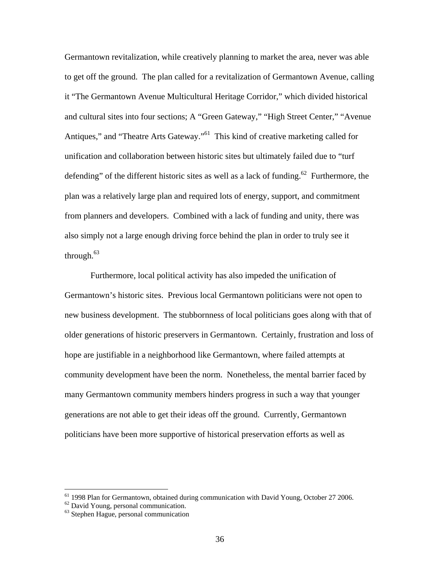Germantown revitalization, while creatively planning to market the area, never was able to get off the ground. The plan called for a revitalization of Germantown Avenue, calling it "The Germantown Avenue Multicultural Heritage Corridor," which divided historical and cultural sites into four sections; A "Green Gateway," "High Street Center," "Avenue Antiques," and "Theatre Arts Gateway."<sup>61</sup> This kind of creative marketing called for unification and collaboration between historic sites but ultimately failed due to "turf defending" of the different historic sites as well as a lack of funding.<sup>62</sup> Furthermore, the plan was a relatively large plan and required lots of energy, support, and commitment from planners and developers. Combined with a lack of funding and unity, there was also simply not a large enough driving force behind the plan in order to truly see it through.<sup>63</sup>

 Furthermore, local political activity has also impeded the unification of Germantown's historic sites. Previous local Germantown politicians were not open to new business development. The stubbornness of local politicians goes along with that of older generations of historic preservers in Germantown. Certainly, frustration and loss of hope are justifiable in a neighborhood like Germantown, where failed attempts at community development have been the norm. Nonetheless, the mental barrier faced by many Germantown community members hinders progress in such a way that younger generations are not able to get their ideas off the ground. Currently, Germantown politicians have been more supportive of historical preservation efforts as well as

<sup>&</sup>lt;sup>61</sup> 1998 Plan for Germantown, obtained during communication with David Young, October 27 2006.

<sup>62</sup> David Young, personal communication.

<sup>63</sup> Stephen Hague, personal communication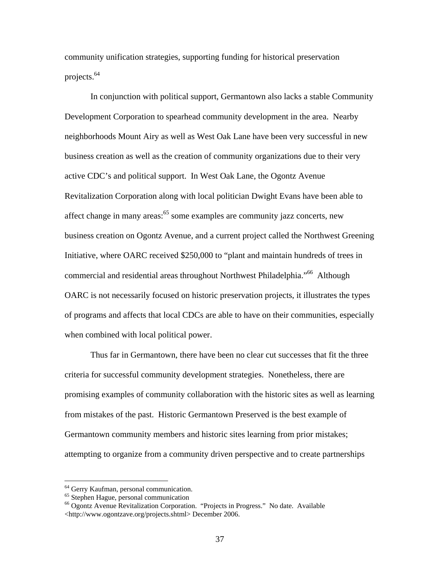community unification strategies, supporting funding for historical preservation projects.64

 In conjunction with political support, Germantown also lacks a stable Community Development Corporation to spearhead community development in the area. Nearby neighborhoods Mount Airy as well as West Oak Lane have been very successful in new business creation as well as the creation of community organizations due to their very active CDC's and political support. In West Oak Lane, the Ogontz Avenue Revitalization Corporation along with local politician Dwight Evans have been able to affect change in many areas: $65$  some examples are community jazz concerts, new business creation on Ogontz Avenue, and a current project called the Northwest Greening Initiative, where OARC received \$250,000 to "plant and maintain hundreds of trees in commercial and residential areas throughout Northwest Philadelphia."<sup>66</sup> Although OARC is not necessarily focused on historic preservation projects, it illustrates the types of programs and affects that local CDCs are able to have on their communities, especially when combined with local political power.

 Thus far in Germantown, there have been no clear cut successes that fit the three criteria for successful community development strategies. Nonetheless, there are promising examples of community collaboration with the historic sites as well as learning from mistakes of the past. Historic Germantown Preserved is the best example of Germantown community members and historic sites learning from prior mistakes; attempting to organize from a community driven perspective and to create partnerships

<sup>64</sup> Gerry Kaufman, personal communication.

<sup>&</sup>lt;sup>65</sup> Stephen Hague, personal communication

<sup>66</sup> Ogontz Avenue Revitalization Corporation. "Projects in Progress." No date. Available <http://www.ogontzave.org/projects.shtml> December 2006.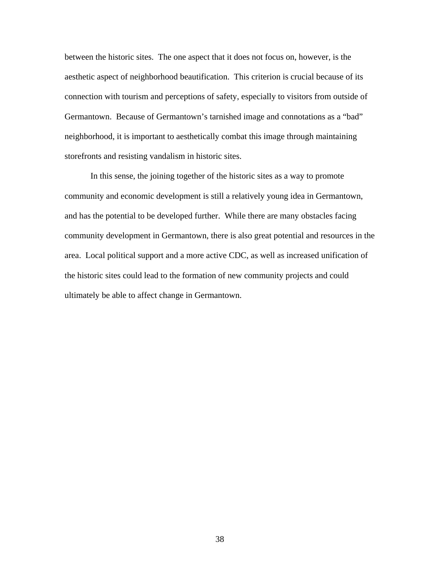between the historic sites. The one aspect that it does not focus on, however, is the aesthetic aspect of neighborhood beautification. This criterion is crucial because of its connection with tourism and perceptions of safety, especially to visitors from outside of Germantown. Because of Germantown's tarnished image and connotations as a "bad" neighborhood, it is important to aesthetically combat this image through maintaining storefronts and resisting vandalism in historic sites.

 In this sense, the joining together of the historic sites as a way to promote community and economic development is still a relatively young idea in Germantown, and has the potential to be developed further. While there are many obstacles facing community development in Germantown, there is also great potential and resources in the area. Local political support and a more active CDC, as well as increased unification of the historic sites could lead to the formation of new community projects and could ultimately be able to affect change in Germantown.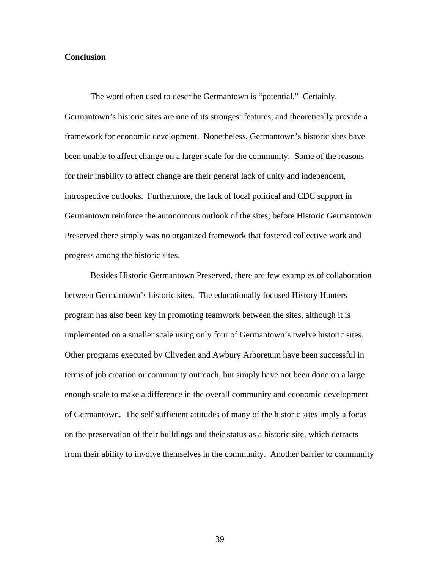### **Conclusion**

The word often used to describe Germantown is "potential." Certainly, Germantown's historic sites are one of its strongest features, and theoretically provide a framework for economic development. Nonetheless, Germantown's historic sites have been unable to affect change on a larger scale for the community. Some of the reasons for their inability to affect change are their general lack of unity and independent, introspective outlooks. Furthermore, the lack of local political and CDC support in Germantown reinforce the autonomous outlook of the sites; before Historic Germantown Preserved there simply was no organized framework that fostered collective work and progress among the historic sites.

 Besides Historic Germantown Preserved, there are few examples of collaboration between Germantown's historic sites. The educationally focused History Hunters program has also been key in promoting teamwork between the sites, although it is implemented on a smaller scale using only four of Germantown's twelve historic sites. Other programs executed by Cliveden and Awbury Arboretum have been successful in terms of job creation or community outreach, but simply have not been done on a large enough scale to make a difference in the overall community and economic development of Germantown. The self sufficient attitudes of many of the historic sites imply a focus on the preservation of their buildings and their status as a historic site, which detracts from their ability to involve themselves in the community. Another barrier to community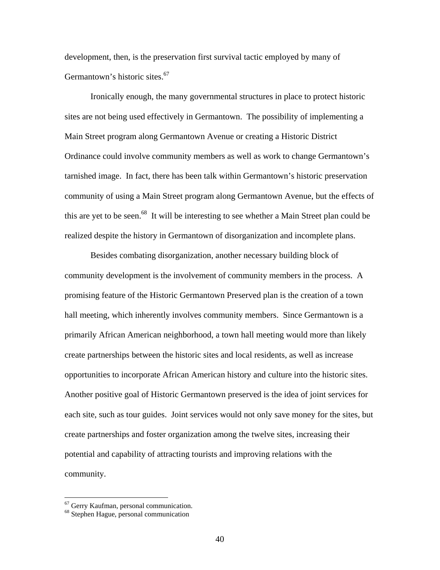development, then, is the preservation first survival tactic employed by many of Germantown's historic sites.<sup>67</sup>

Ironically enough, the many governmental structures in place to protect historic sites are not being used effectively in Germantown. The possibility of implementing a Main Street program along Germantown Avenue or creating a Historic District Ordinance could involve community members as well as work to change Germantown's tarnished image. In fact, there has been talk within Germantown's historic preservation community of using a Main Street program along Germantown Avenue, but the effects of this are yet to be seen.<sup>68</sup> It will be interesting to see whether a Main Street plan could be realized despite the history in Germantown of disorganization and incomplete plans.

 Besides combating disorganization, another necessary building block of community development is the involvement of community members in the process. A promising feature of the Historic Germantown Preserved plan is the creation of a town hall meeting, which inherently involves community members. Since Germantown is a primarily African American neighborhood, a town hall meeting would more than likely create partnerships between the historic sites and local residents, as well as increase opportunities to incorporate African American history and culture into the historic sites. Another positive goal of Historic Germantown preserved is the idea of joint services for each site, such as tour guides. Joint services would not only save money for the sites, but create partnerships and foster organization among the twelve sites, increasing their potential and capability of attracting tourists and improving relations with the community.

<sup>67</sup> Gerry Kaufman, personal communication.

<sup>68</sup> Stephen Hague, personal communication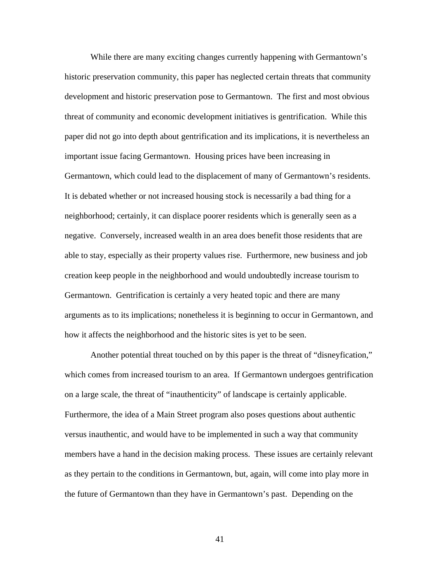While there are many exciting changes currently happening with Germantown's historic preservation community, this paper has neglected certain threats that community development and historic preservation pose to Germantown. The first and most obvious threat of community and economic development initiatives is gentrification. While this paper did not go into depth about gentrification and its implications, it is nevertheless an important issue facing Germantown. Housing prices have been increasing in Germantown, which could lead to the displacement of many of Germantown's residents. It is debated whether or not increased housing stock is necessarily a bad thing for a neighborhood; certainly, it can displace poorer residents which is generally seen as a negative. Conversely, increased wealth in an area does benefit those residents that are able to stay, especially as their property values rise. Furthermore, new business and job creation keep people in the neighborhood and would undoubtedly increase tourism to Germantown. Gentrification is certainly a very heated topic and there are many arguments as to its implications; nonetheless it is beginning to occur in Germantown, and how it affects the neighborhood and the historic sites is yet to be seen.

 Another potential threat touched on by this paper is the threat of "disneyfication," which comes from increased tourism to an area. If Germantown undergoes gentrification on a large scale, the threat of "inauthenticity" of landscape is certainly applicable. Furthermore, the idea of a Main Street program also poses questions about authentic versus inauthentic, and would have to be implemented in such a way that community members have a hand in the decision making process. These issues are certainly relevant as they pertain to the conditions in Germantown, but, again, will come into play more in the future of Germantown than they have in Germantown's past. Depending on the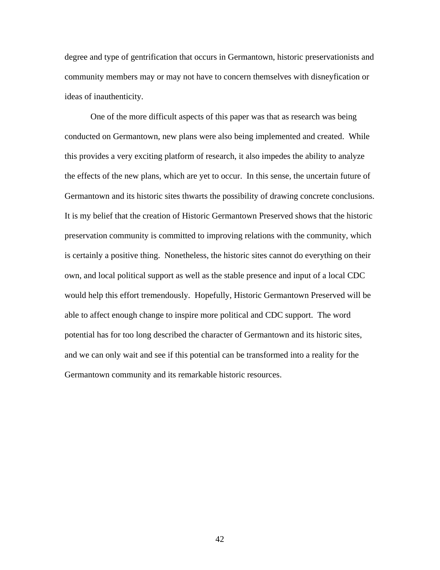degree and type of gentrification that occurs in Germantown, historic preservationists and community members may or may not have to concern themselves with disneyfication or ideas of inauthenticity.

 One of the more difficult aspects of this paper was that as research was being conducted on Germantown, new plans were also being implemented and created. While this provides a very exciting platform of research, it also impedes the ability to analyze the effects of the new plans, which are yet to occur. In this sense, the uncertain future of Germantown and its historic sites thwarts the possibility of drawing concrete conclusions. It is my belief that the creation of Historic Germantown Preserved shows that the historic preservation community is committed to improving relations with the community, which is certainly a positive thing. Nonetheless, the historic sites cannot do everything on their own, and local political support as well as the stable presence and input of a local CDC would help this effort tremendously. Hopefully, Historic Germantown Preserved will be able to affect enough change to inspire more political and CDC support. The word potential has for too long described the character of Germantown and its historic sites, and we can only wait and see if this potential can be transformed into a reality for the Germantown community and its remarkable historic resources.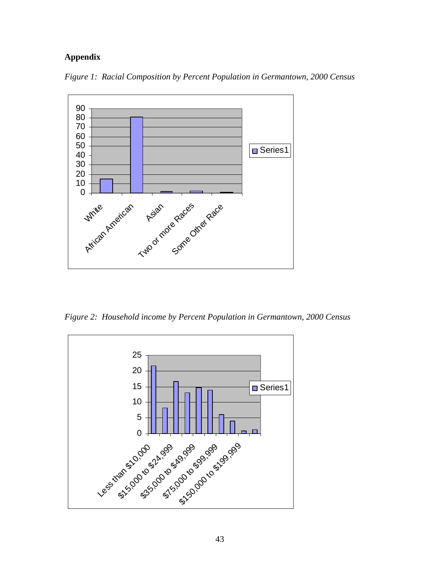# **Appendix**



*Figure 1: Racial Composition by Percent Population in Germantown, 2000 Census* 

*Figure 2: Household income by Percent Population in Germantown, 2000 Census* 

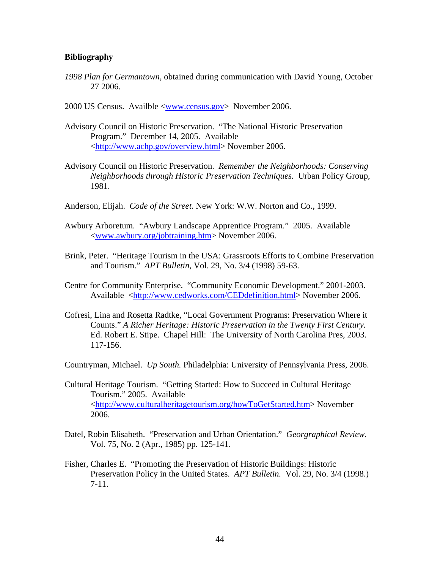# **Bibliography**

- *1998 Plan for Germantown*, obtained during communication with David Young, October 27 2006.
- 2000 US Census. Availble <www.census.gov> November 2006.
- Advisory Council on Historic Preservation. "The National Historic Preservation Program." December 14, 2005. Available <http://www.achp.gov/overview.html> November 2006.
- Advisory Council on Historic Preservation. *Remember the Neighborhoods: Conserving Neighborhoods through Historic Preservation Techniques.* Urban Policy Group, 1981.
- Anderson, Elijah. *Code of the Street.* New York: W.W. Norton and Co., 1999.
- Awbury Arboretum. "Awbury Landscape Apprentice Program." 2005. Available <www.awbury.org/jobtraining.htm> November 2006.
- Brink, Peter. "Heritage Tourism in the USA: Grassroots Efforts to Combine Preservation and Tourism." *APT Bulletin,* Vol. 29, No. 3/4 (1998) 59-63.
- Centre for Community Enterprise. "Community Economic Development." 2001-2003. Available <http://www.cedworks.com/CEDdefinition.html> November 2006.
- Cofresi, Lina and Rosetta Radtke, "Local Government Programs: Preservation Where it Counts." *A Richer Heritage: Historic Preservation in the Twenty First Century.* Ed. Robert E. Stipe. Chapel Hill: The University of North Carolina Pres, 2003. 117-156.

Countryman, Michael. *Up South.* Philadelphia: University of Pennsylvania Press, 2006.

- Cultural Heritage Tourism. "Getting Started: How to Succeed in Cultural Heritage Tourism." 2005. Available <http://www.culturalheritagetourism.org/howToGetStarted.htm> November 2006.
- Datel, Robin Elisabeth. "Preservation and Urban Orientation." *Georgraphical Review.*  Vol. 75, No. 2 (Apr., 1985) pp. 125-141.
- Fisher, Charles E. "Promoting the Preservation of Historic Buildings: Historic Preservation Policy in the United States. *APT Bulletin.* Vol. 29, No. 3/4 (1998.) 7-11.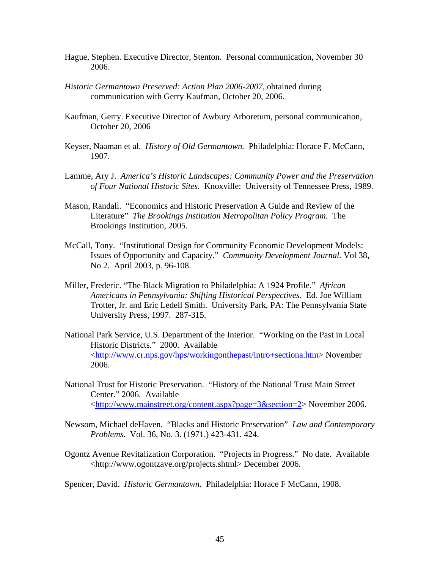- Hague, Stephen. Executive Director, Stenton. Personal communication, November 30 2006.
- *Historic Germantown Preserved: Action Plan 2006-2007*, obtained during communication with Gerry Kaufman, October 20, 2006.
- Kaufman, Gerry. Executive Director of Awbury Arboretum, personal communication, October 20, 2006
- Keyser, Naaman et al. *History of Old Germantown.* Philadelphia: Horace F. McCann, 1907.
- Lamme, Ary J. *America's Historic Landscapes: Community Power and the Preservation of Four National Historic Sites.* Knoxville: University of Tennessee Press, 1989.
- Mason, Randall. "Economics and Historic Preservation A Guide and Review of the Literature" *The Brookings Institution Metropolitan Policy Program.* The Brookings Institution, 2005.
- McCall, Tony. "Institutional Design for Community Economic Development Models: Issues of Opportunity and Capacity." *Community Development Journal.* Vol 38, No 2. April 2003, p. 96-108.
- Miller, Frederic. "The Black Migration to Philadelphia: A 1924 Profile." *African Americans in Pennsylvania: Shifting Historical Perspectives.* Ed. Joe William Trotter, Jr. and Eric Ledell Smith. University Park, PA: The Pennsylvania State University Press, 1997. 287-315.
- National Park Service, U.S. Department of the Interior. "Working on the Past in Local Historic Districts." 2000. Available <http://www.cr.nps.gov/hps/workingonthepast/intro+sectiona.htm> November 2006.
- National Trust for Historic Preservation. "History of the National Trust Main Street Center." 2006. Available <http://www.mainstreet.org/content.aspx?page=3&section=2> November 2006.
- Newsom, Michael deHaven. "Blacks and Historic Preservation" *Law and Contemporary Problems.* Vol. 36, No. 3. (1971.) 423-431. 424.
- Ogontz Avenue Revitalization Corporation. "Projects in Progress." No date. Available <http://www.ogontzave.org/projects.shtml> December 2006.

Spencer, David. *Historic Germantown*. Philadelphia: Horace F McCann, 1908.